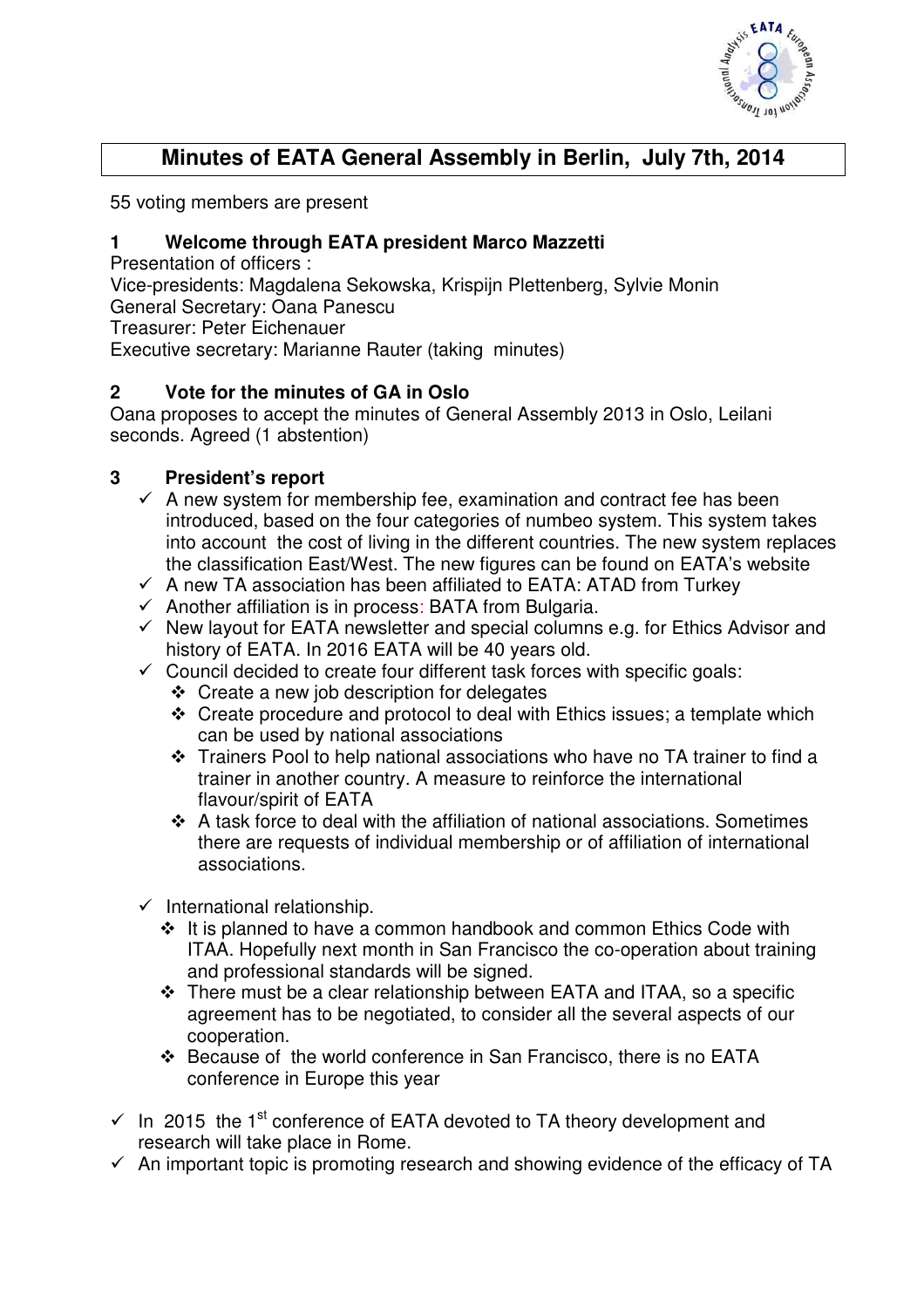

# **Minutes of EATA General Assembly in Berlin, July 7th, 2014**

55 voting members are present

### **1 Welcome through EATA president Marco Mazzetti**

Presentation of officers :

Vice-presidents: Magdalena Sekowska, Krispijn Plettenberg, Sylvie Monin

General Secretary: Oana Panescu

Treasurer: Peter Eichenauer

Executive secretary: Marianne Rauter (taking minutes)

## **2 Vote for the minutes of GA in Oslo**

Oana proposes to accept the minutes of General Assembly 2013 in Oslo, Leilani seconds. Agreed (1 abstention)

## **3 President's report**

- $\checkmark$  A new system for membership fee, examination and contract fee has been introduced, based on the four categories of numbeo system. This system takes into account the cost of living in the different countries. The new system replaces the classification East/West. The new figures can be found on EATA's website
- $\checkmark$  A new TA association has been affiliated to EATA: ATAD from Turkey
- $\checkmark$  Another affiliation is in process: BATA from Bulgaria.
- $\checkmark$  New layout for EATA newsletter and special columns e.g. for Ethics Advisor and history of EATA. In 2016 EATA will be 40 years old.
- $\checkmark$  Council decided to create four different task forces with specific goals:
	- Create a new job description for delegates
	- Create procedure and protocol to deal with Ethics issues; a template which can be used by national associations
	- Trainers Pool to help national associations who have no TA trainer to find a trainer in another country. A measure to reinforce the international flavour/spirit of EATA
	- A task force to deal with the affiliation of national associations. Sometimes there are requests of individual membership or of affiliation of international associations.
- $\checkmark$  International relationship.
	- It is planned to have a common handbook and common Ethics Code with ITAA. Hopefully next month in San Francisco the co-operation about training and professional standards will be signed.
	- There must be a clear relationship between EATA and ITAA, so a specific agreement has to be negotiated, to consider all the several aspects of our cooperation.
	- Because of the world conference in San Francisco, there is no EATA conference in Europe this year
- $\checkmark$  In 2015 the 1<sup>st</sup> conference of EATA devoted to TA theory development and research will take place in Rome.
- $\checkmark$  An important topic is promoting research and showing evidence of the efficacy of TA